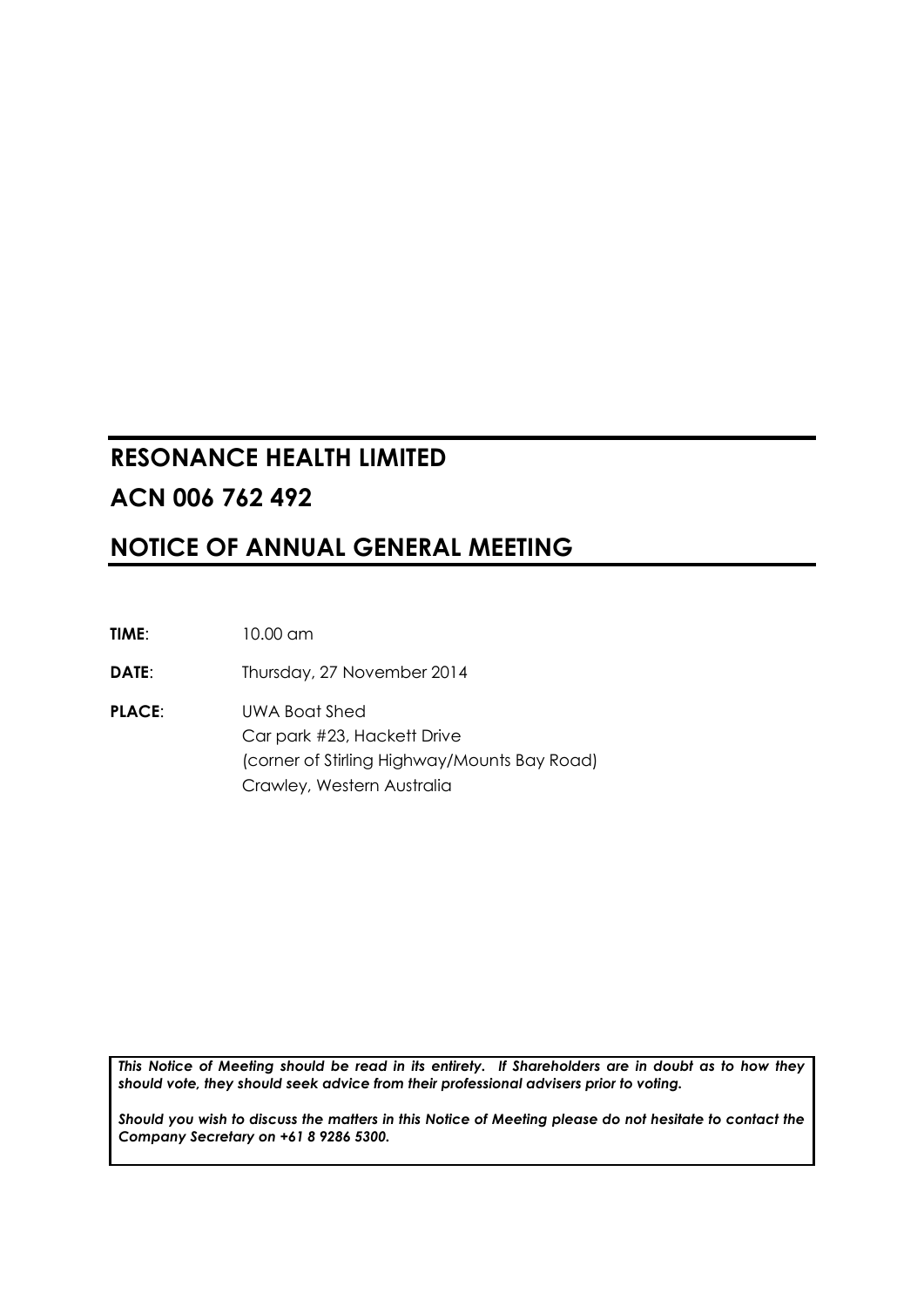## **RESONANCE HEALTH LIMITED ACN 006 762 492**

## **NOTICE OF ANNUAL GENERAL MEETING**

**TIME**: 10.00 am

**DATE:** Thursday, 27 November 2014

**PLACE**: UWA Boat Shed Car park #23, Hackett Drive (corner of Stirling Highway/Mounts Bay Road) Crawley, Western Australia

*This Notice of Meeting should be read in its entirety. If Shareholders are in doubt as to how they should vote, they should seek advice from their professional advisers prior to voting.*

*Should you wish to discuss the matters in this Notice of Meeting please do not hesitate to contact the Company Secretary on +61 8 9286 5300.*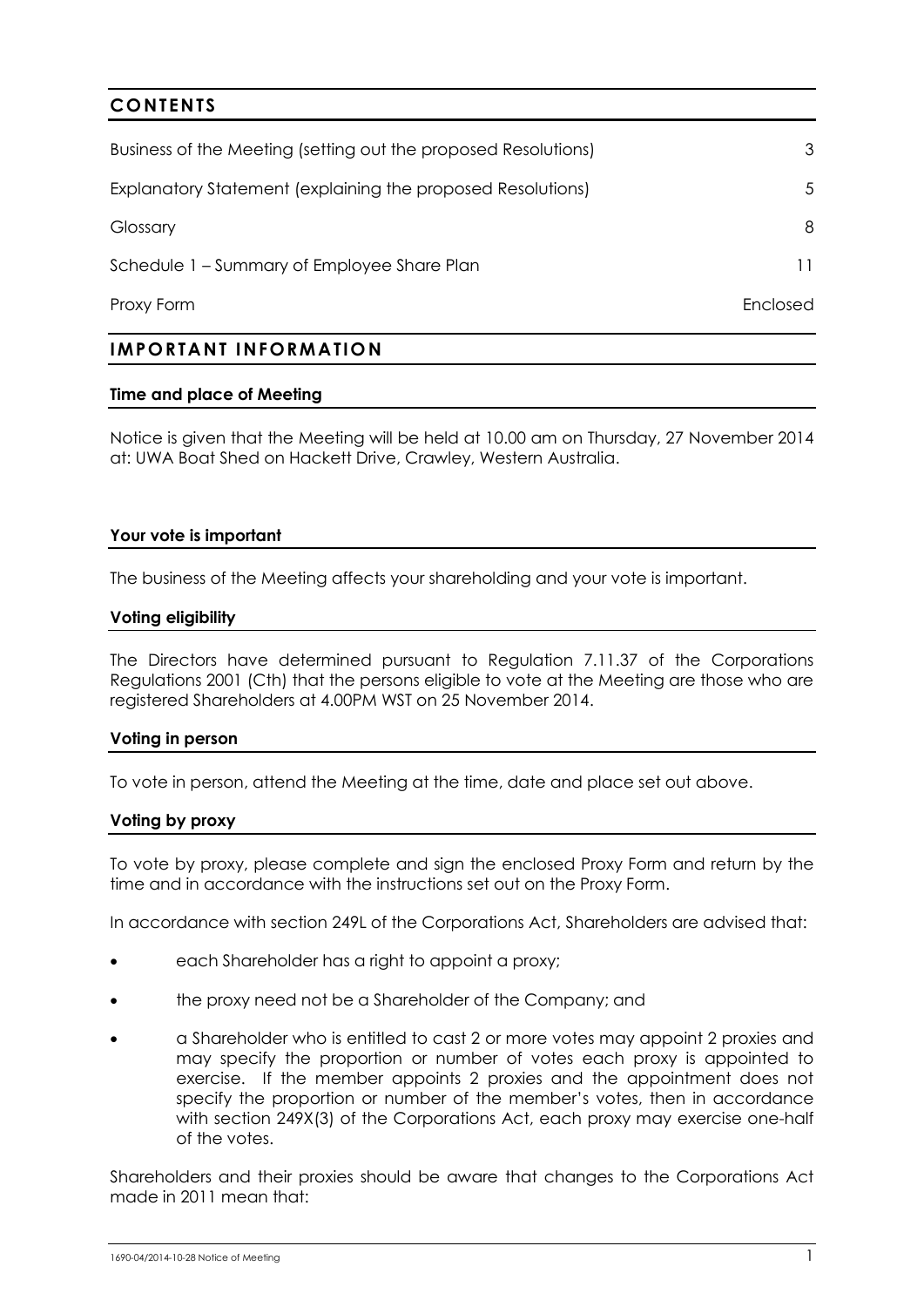# **CONTENTS** Business of the Meeting (setting out the proposed Resolutions) [3](#page-3-0) Explanatory Statement (explaining the proposed Resolutions) [5](#page-5-0) Glossary [8](#page-8-0) Schedule 1 – Summary of Employee Share Plan 11 and 11 and 11 and 11 and 11 and 11 and 11 and 11 and 11 and 11 and 11 and 11 and 11 and 11 and 11 and 11 and 11 and 11 and 11 and 11 and 11 and 11 and 11 and 11 and 11 and 12 Proxy Form Enclosed

### **IMPORTANT INFORMATIO N**

### **Time and place of Meeting**

Notice is given that the Meeting will be held at 10.00 am on Thursday, 27 November 2014 at: UWA Boat Shed on Hackett Drive, Crawley, Western Australia.

### **Your vote is important**

The business of the Meeting affects your shareholding and your vote is important.

### **Voting eligibility**

The Directors have determined pursuant to Regulation 7.11.37 of the Corporations Regulations 2001 (Cth) that the persons eligible to vote at the Meeting are those who are registered Shareholders at 4.00PM WST on 25 November 2014.

### **Voting in person**

To vote in person, attend the Meeting at the time, date and place set out above.

### **Voting by proxy**

To vote by proxy, please complete and sign the enclosed Proxy Form and return by the time and in accordance with the instructions set out on the Proxy Form.

In accordance with section 249L of the Corporations Act, Shareholders are advised that:

- each Shareholder has a right to appoint a proxy;
- the proxy need not be a Shareholder of the Company; and
- a Shareholder who is entitled to cast 2 or more votes may appoint 2 proxies and may specify the proportion or number of votes each proxy is appointed to exercise. If the member appoints 2 proxies and the appointment does not specify the proportion or number of the member's votes, then in accordance with section 249X(3) of the Corporations Act, each proxy may exercise one-half of the votes.

Shareholders and their proxies should be aware that changes to the Corporations Act made in 2011 mean that: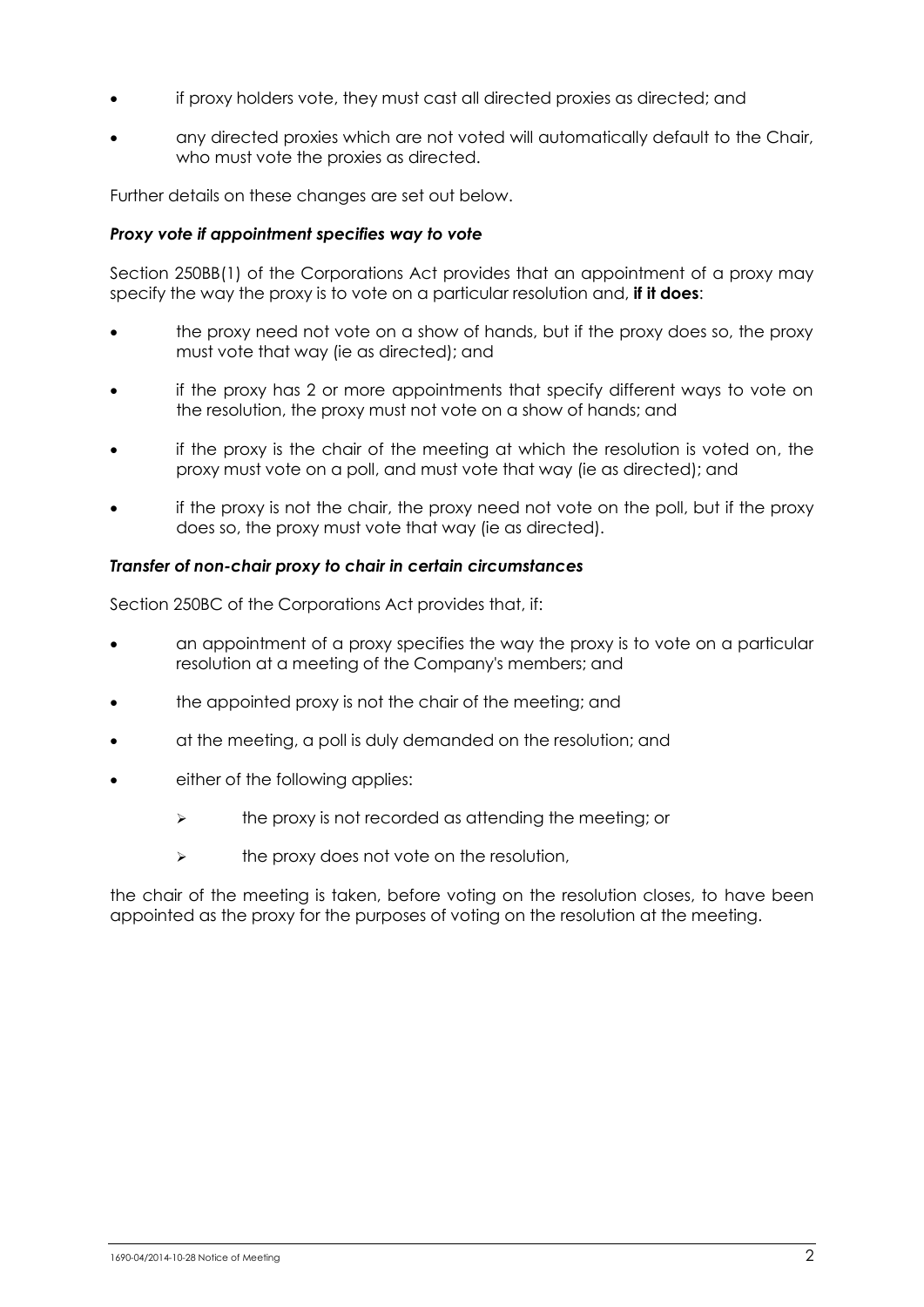- if proxy holders vote, they must cast all directed proxies as directed; and
- any directed proxies which are not voted will automatically default to the Chair, who must vote the proxies as directed.

Further details on these changes are set out below.

### *Proxy vote if appointment specifies way to vote*

Section 250BB(1) of the Corporations Act provides that an appointment of a proxy may specify the way the proxy is to vote on a particular resolution and, **if it does**:

- the proxy need not vote on a show of hands, but if the proxy does so, the proxy must vote that way (ie as directed); and
- if the proxy has 2 or more appointments that specify different ways to vote on the resolution, the proxy must not vote on a show of hands; and
- if the proxy is the chair of the meeting at which the resolution is voted on, the proxy must vote on a poll, and must vote that way (ie as directed); and
- if the proxy is not the chair, the proxy need not vote on the poll, but if the proxy does so, the proxy must vote that way (ie as directed).

### *Transfer of non-chair proxy to chair in certain circumstances*

Section 250BC of the Corporations Act provides that, if:

- an appointment of a proxy specifies the way the proxy is to vote on a particular resolution at a meeting of the Company's members; and
- the appointed proxy is not the chair of the meeting; and
- at the meeting, a poll is duly demanded on the resolution; and
- either of the following applies:
	- $\triangleright$  the proxy is not recorded as attending the meeting; or
	- $\triangleright$  the proxy does not vote on the resolution,

the chair of the meeting is taken, before voting on the resolution closes, to have been appointed as the proxy for the purposes of voting on the resolution at the meeting.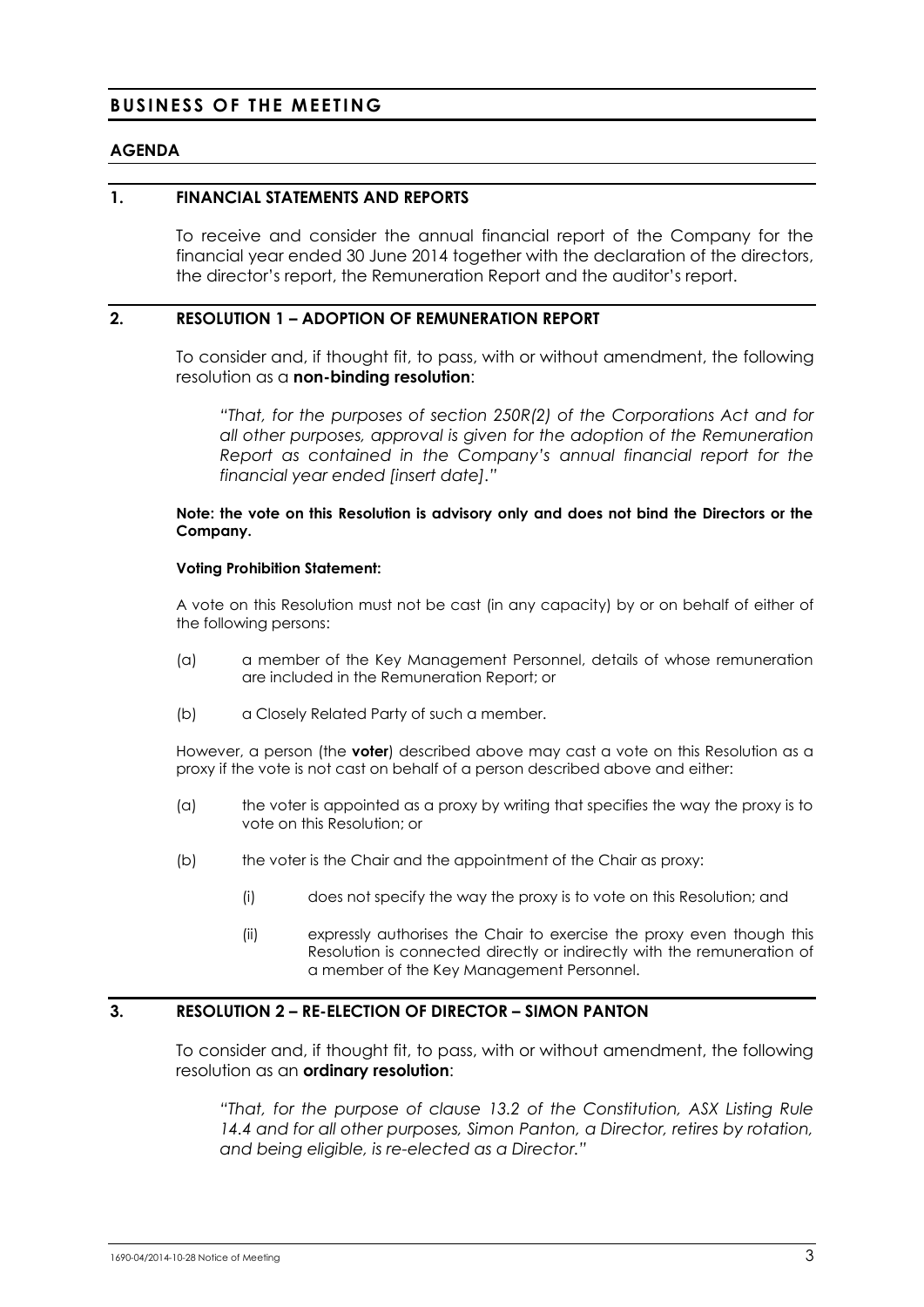### <span id="page-3-0"></span>**BUSINESS OF THE MEETING**

### **AGENDA**

### **1. FINANCIAL STATEMENTS AND REPORTS**

To receive and consider the annual financial report of the Company for the financial year ended 30 June 2014 together with the declaration of the directors, the director's report, the Remuneration Report and the auditor's report.

### **2. RESOLUTION 1 – ADOPTION OF REMUNERATION REPORT**

To consider and, if thought fit, to pass, with or without amendment, the following resolution as a **non-binding resolution**:

*"That, for the purposes of section 250R(2) of the Corporations Act and for all other purposes, approval is given for the adoption of the Remuneration Report as contained in the Company's annual financial report for the financial year ended [insert date]."*

#### **Note: the vote on this Resolution is advisory only and does not bind the Directors or the Company.**

#### **Voting Prohibition Statement:**

A vote on this Resolution must not be cast (in any capacity) by or on behalf of either of the following persons:

- (a) a member of the Key Management Personnel, details of whose remuneration are included in the Remuneration Report; or
- (b) a Closely Related Party of such a member.

However, a person (the **voter**) described above may cast a vote on this Resolution as a proxy if the vote is not cast on behalf of a person described above and either:

- (a) the voter is appointed as a proxy by writing that specifies the way the proxy is to vote on this Resolution; or
- (b) the voter is the Chair and the appointment of the Chair as proxy:
	- (i) does not specify the way the proxy is to vote on this Resolution; and
	- (ii) expressly authorises the Chair to exercise the proxy even though this Resolution is connected directly or indirectly with the remuneration of a member of the Key Management Personnel.

### **3. RESOLUTION 2 – RE-ELECTION OF DIRECTOR – SIMON PANTON**

To consider and, if thought fit, to pass, with or without amendment, the following resolution as an **ordinary resolution**:

*"That, for the purpose of clause 13.2 of the Constitution, ASX Listing Rule 14.4 and for all other purposes, Simon Panton, a Director, retires by rotation, and being eligible, is re-elected as a Director."*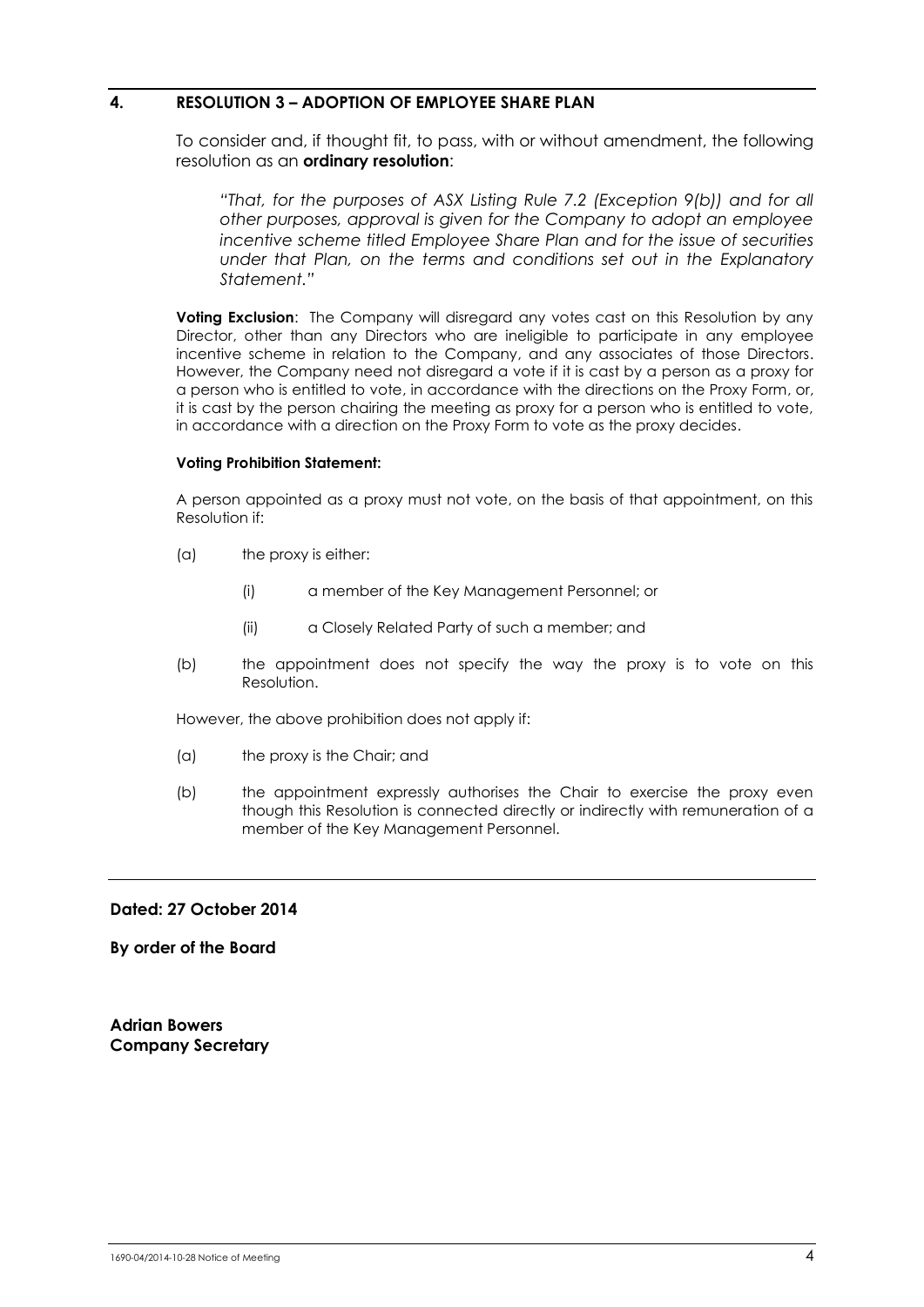### **4. RESOLUTION 3 – ADOPTION OF EMPLOYEE SHARE PLAN**

To consider and, if thought fit, to pass, with or without amendment, the following resolution as an **ordinary resolution**:

*"That, for the purposes of ASX Listing Rule 7.2 (Exception 9(b)) and for all other purposes, approval is given for the Company to adopt an employee incentive scheme titled Employee Share Plan and for the issue of securities under that Plan, on the terms and conditions set out in the Explanatory Statement."*

**Voting Exclusion:** The Company will disregard any votes cast on this Resolution by any Director, other than any Directors who are ineligible to participate in any employee incentive scheme in relation to the Company, and any associates of those Directors. However, the Company need not disregard a vote if it is cast by a person as a proxy for a person who is entitled to vote, in accordance with the directions on the Proxy Form, or, it is cast by the person chairing the meeting as proxy for a person who is entitled to vote, in accordance with a direction on the Proxy Form to vote as the proxy decides.

### **Voting Prohibition Statement:**

A person appointed as a proxy must not vote, on the basis of that appointment, on this Resolution if:

- (a) the proxy is either:
	- (i) a member of the Key Management Personnel; or
	- (ii) a Closely Related Party of such a member; and
- (b) the appointment does not specify the way the proxy is to vote on this Resolution.

However, the above prohibition does not apply if:

- (a) the proxy is the Chair; and
- (b) the appointment expressly authorises the Chair to exercise the proxy even though this Resolution is connected directly or indirectly with remuneration of a member of the Key Management Personnel.

### **Dated: 27 October 2014**

**By order of the Board**

**Adrian Bowers Company Secretary**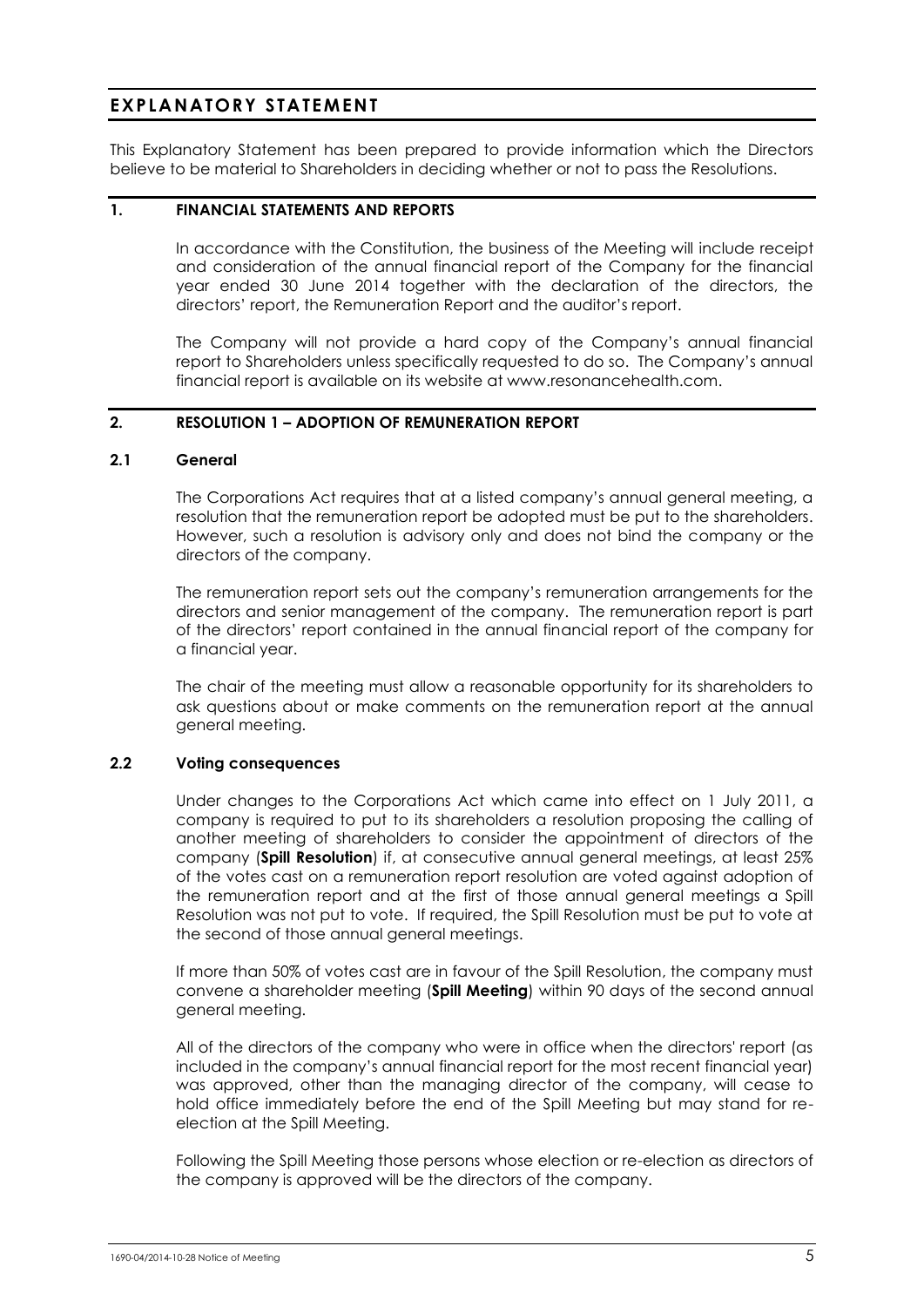### <span id="page-5-0"></span>**EXPLANATORY STATEMENT**

This Explanatory Statement has been prepared to provide information which the Directors believe to be material to Shareholders in deciding whether or not to pass the Resolutions.

### **1. FINANCIAL STATEMENTS AND REPORTS**

In accordance with the Constitution, the business of the Meeting will include receipt and consideration of the annual financial report of the Company for the financial year ended 30 June 2014 together with the declaration of the directors, the directors' report, the Remuneration Report and the auditor's report.

The Company will not provide a hard copy of the Company's annual financial report to Shareholders unless specifically requested to do so. The Company's annual financial report is available on its website at www.resonancehealth.com.

### **2. RESOLUTION 1 – ADOPTION OF REMUNERATION REPORT**

### **2.1 General**

The Corporations Act requires that at a listed company's annual general meeting, a resolution that the remuneration report be adopted must be put to the shareholders. However, such a resolution is advisory only and does not bind the company or the directors of the company.

The remuneration report sets out the company's remuneration arrangements for the directors and senior management of the company. The remuneration report is part of the directors' report contained in the annual financial report of the company for a financial year.

The chair of the meeting must allow a reasonable opportunity for its shareholders to ask questions about or make comments on the remuneration report at the annual general meeting.

### **2.2 Voting consequences**

Under changes to the Corporations Act which came into effect on 1 July 2011, a company is required to put to its shareholders a resolution proposing the calling of another meeting of shareholders to consider the appointment of directors of the company (**Spill Resolution**) if, at consecutive annual general meetings, at least 25% of the votes cast on a remuneration report resolution are voted against adoption of the remuneration report and at the first of those annual general meetings a Spill Resolution was not put to vote. If required, the Spill Resolution must be put to vote at the second of those annual general meetings.

If more than 50% of votes cast are in favour of the Spill Resolution, the company must convene a shareholder meeting (**Spill Meeting**) within 90 days of the second annual general meeting.

All of the directors of the company who were in office when the directors' report (as included in the company's annual financial report for the most recent financial year) was approved, other than the managing director of the company, will cease to hold office immediately before the end of the Spill Meeting but may stand for reelection at the Spill Meeting.

Following the Spill Meeting those persons whose election or re-election as directors of the company is approved will be the directors of the company.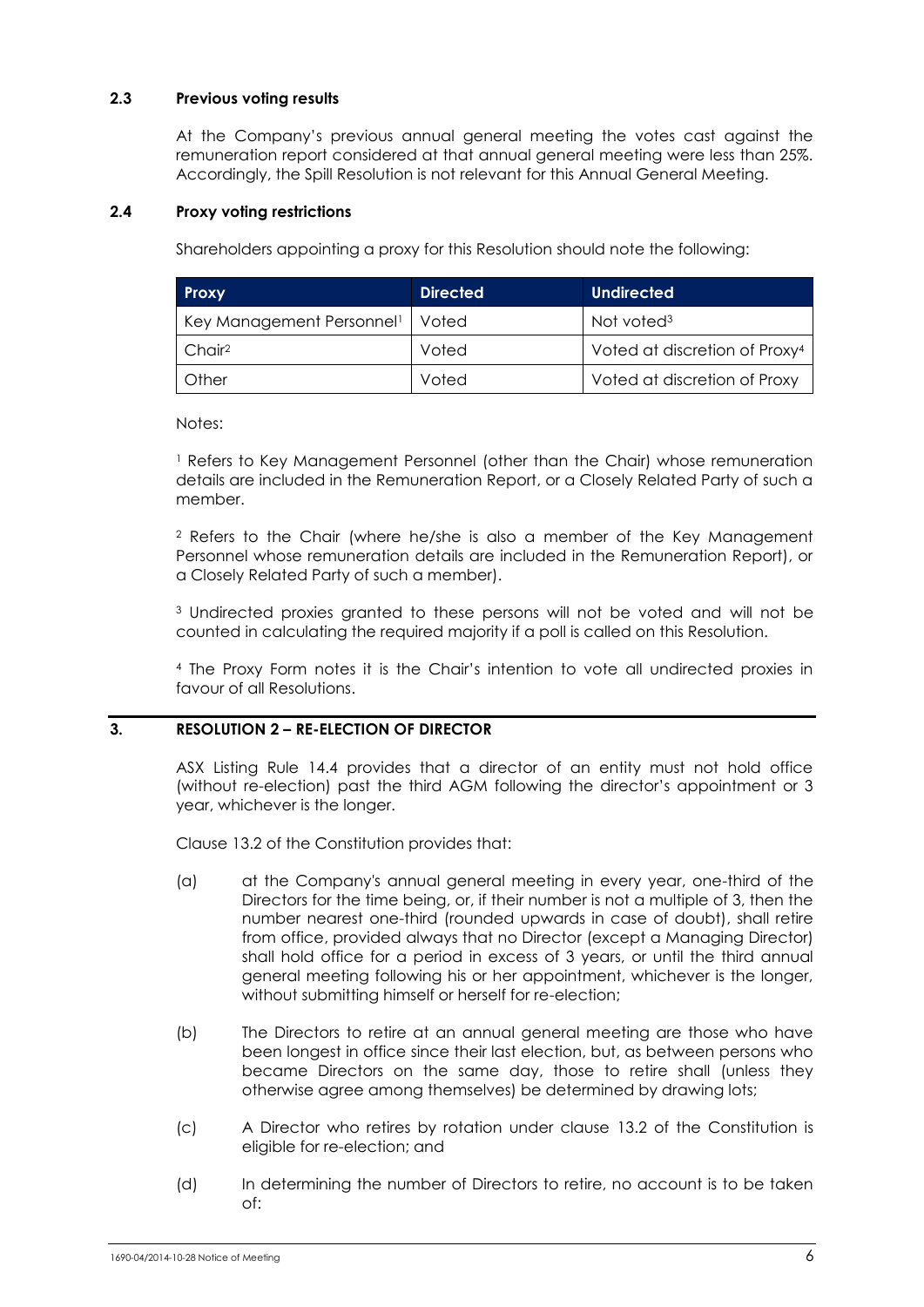### **2.3 Previous voting results**

At the Company's previous annual general meeting the votes cast against the remuneration report considered at that annual general meeting were less than 25%. Accordingly, the Spill Resolution is not relevant for this Annual General Meeting.

### **2.4 Proxy voting restrictions**

Shareholders appointing a proxy for this Resolution should note the following:

| <b>Proxy</b>                          | <b>Directed</b> | <b>Undirected</b>                         |
|---------------------------------------|-----------------|-------------------------------------------|
| Key Management Personnel <sup>1</sup> | Voted           | Not voted <sup>3</sup>                    |
| Chair <sup>2</sup>                    | Voted           | Voted at discretion of Proxy <sup>4</sup> |
| <b>Other</b>                          | Voted           | Voted at discretion of Proxy              |

Notes:

<sup>1</sup> Refers to Key Management Personnel (other than the Chair) whose remuneration details are included in the Remuneration Report, or a Closely Related Party of such a member.

<sup>2</sup> Refers to the Chair (where he/she is also a member of the Key Management Personnel whose remuneration details are included in the Remuneration Report), or a Closely Related Party of such a member).

<sup>3</sup> Undirected proxies granted to these persons will not be voted and will not be counted in calculating the required majority if a poll is called on this Resolution.

<sup>4</sup> The Proxy Form notes it is the Chair's intention to vote all undirected proxies in favour of all Resolutions.

### **3. RESOLUTION 2 – RE-ELECTION OF DIRECTOR**

ASX Listing Rule 14.4 provides that a director of an entity must not hold office (without re-election) past the third AGM following the director's appointment or 3 year, whichever is the longer.

Clause 13.2 of the Constitution provides that:

- (a) at the Company's annual general meeting in every year, one-third of the Directors for the time being, or, if their number is not a multiple of 3, then the number nearest one-third (rounded upwards in case of doubt), shall retire from office, provided always that no Director (except a Managing Director) shall hold office for a period in excess of 3 years, or until the third annual general meeting following his or her appointment, whichever is the longer, without submitting himself or herself for re-election;
- (b) The Directors to retire at an annual general meeting are those who have been longest in office since their last election, but, as between persons who became Directors on the same day, those to retire shall (unless they otherwise agree among themselves) be determined by drawing lots;
- (c) A Director who retires by rotation under clause 13.2 of the Constitution is eligible for re-election; and
- (d) In determining the number of Directors to retire, no account is to be taken of: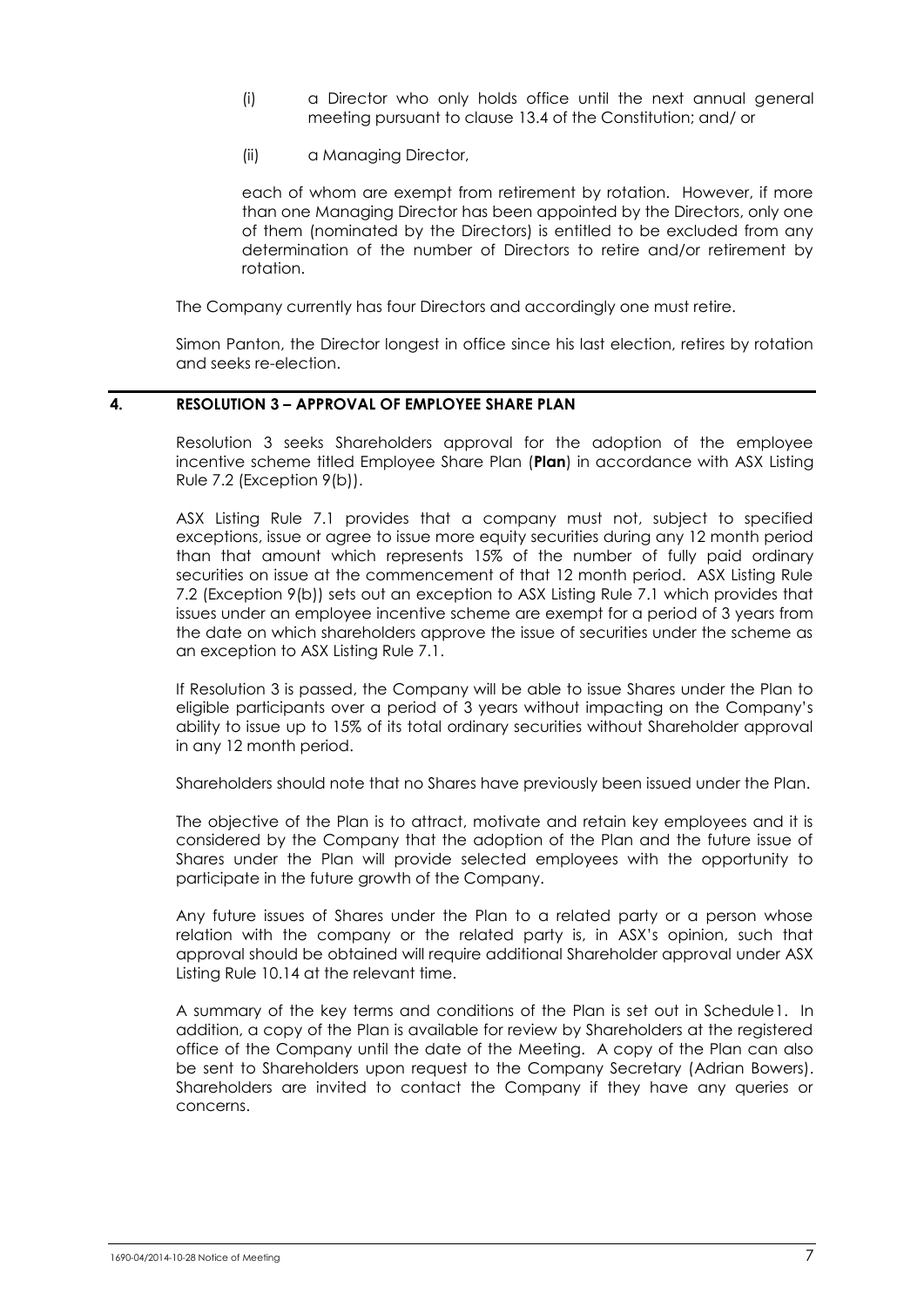- (i) a Director who only holds office until the next annual general meeting pursuant to clause 13.4 of the Constitution; and/ or
- (ii) a Managing Director,

each of whom are exempt from retirement by rotation. However, if more than one Managing Director has been appointed by the Directors, only one of them (nominated by the Directors) is entitled to be excluded from any determination of the number of Directors to retire and/or retirement by rotation.

The Company currently has four Directors and accordingly one must retire.

Simon Panton, the Director longest in office since his last election, retires by rotation and seeks re-election.

### **4. RESOLUTION 3 – APPROVAL OF EMPLOYEE SHARE PLAN**

Resolution 3 seeks Shareholders approval for the adoption of the employee incentive scheme titled Employee Share Plan (**Plan**) in accordance with ASX Listing Rule 7.2 (Exception 9(b)).

ASX Listing Rule 7.1 provides that a company must not, subject to specified exceptions, issue or agree to issue more equity securities during any 12 month period than that amount which represents 15% of the number of fully paid ordinary securities on issue at the commencement of that 12 month period. ASX Listing Rule 7.2 (Exception 9(b)) sets out an exception to ASX Listing Rule 7.1 which provides that issues under an employee incentive scheme are exempt for a period of 3 years from the date on which shareholders approve the issue of securities under the scheme as an exception to ASX Listing Rule 7.1.

If Resolution 3 is passed, the Company will be able to issue Shares under the Plan to eligible participants over a period of 3 years without impacting on the Company's ability to issue up to 15% of its total ordinary securities without Shareholder approval in any 12 month period.

Shareholders should note that no Shares have previously been issued under the Plan.

The objective of the Plan is to attract, motivate and retain key employees and it is considered by the Company that the adoption of the Plan and the future issue of Shares under the Plan will provide selected employees with the opportunity to participate in the future growth of the Company.

Any future issues of Shares under the Plan to a related party or a person whose relation with the company or the related party is, in ASX's opinion, such that approval should be obtained will require additional Shareholder approval under ASX Listing Rule 10.14 at the relevant time.

A summary of the key terms and conditions of the Plan is set out in Schedule1. In addition, a copy of the Plan is available for review by Shareholders at the registered office of the Company until the date of the Meeting. A copy of the Plan can also be sent to Shareholders upon request to the Company Secretary (Adrian Bowers). Shareholders are invited to contact the Company if they have any queries or concerns.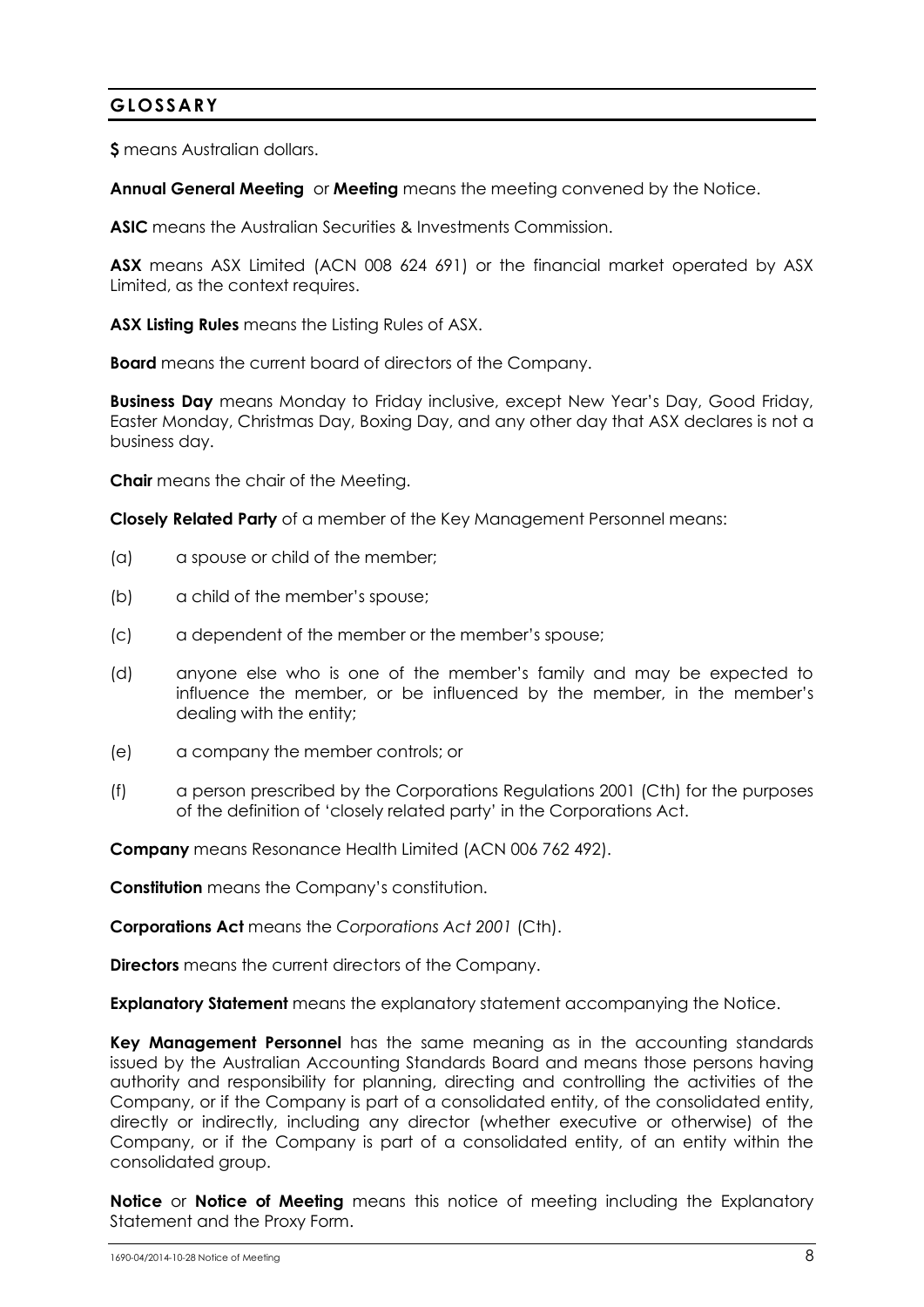### <span id="page-8-0"></span>**GLOSSARY**

**\$** means Australian dollars.

**Annual General Meeting** or **Meeting** means the meeting convened by the Notice.

**ASIC** means the Australian Securities & Investments Commission.

**ASX** means ASX Limited (ACN 008 624 691) or the financial market operated by ASX Limited, as the context requires.

**ASX Listing Rules** means the Listing Rules of ASX.

**Board** means the current board of directors of the Company.

**Business Day** means Monday to Friday inclusive, except New Year's Day, Good Friday, Easter Monday, Christmas Day, Boxing Day, and any other day that ASX declares is not a business day.

**Chair** means the chair of the Meeting.

**Closely Related Party** of a member of the Key Management Personnel means:

- (a) a spouse or child of the member;
- (b) a child of the member's spouse;
- (c) a dependent of the member or the member's spouse;
- (d) anyone else who is one of the member's family and may be expected to influence the member, or be influenced by the member, in the member's dealing with the entity;
- (e) a company the member controls; or
- (f) a person prescribed by the Corporations Regulations 2001 (Cth) for the purposes of the definition of 'closely related party' in the Corporations Act.

**Company** means Resonance Health Limited (ACN 006 762 492).

**Constitution** means the Company's constitution.

**Corporations Act** means the *Corporations Act 2001* (Cth).

**Directors** means the current directors of the Company.

**Explanatory Statement** means the explanatory statement accompanying the Notice.

**Key Management Personnel** has the same meaning as in the accounting standards issued by the Australian Accounting Standards Board and means those persons having authority and responsibility for planning, directing and controlling the activities of the Company, or if the Company is part of a consolidated entity, of the consolidated entity, directly or indirectly, including any director (whether executive or otherwise) of the Company, or if the Company is part of a consolidated entity, of an entity within the consolidated group.

**Notice** or **Notice of Meeting** means this notice of meeting including the Explanatory Statement and the Proxy Form.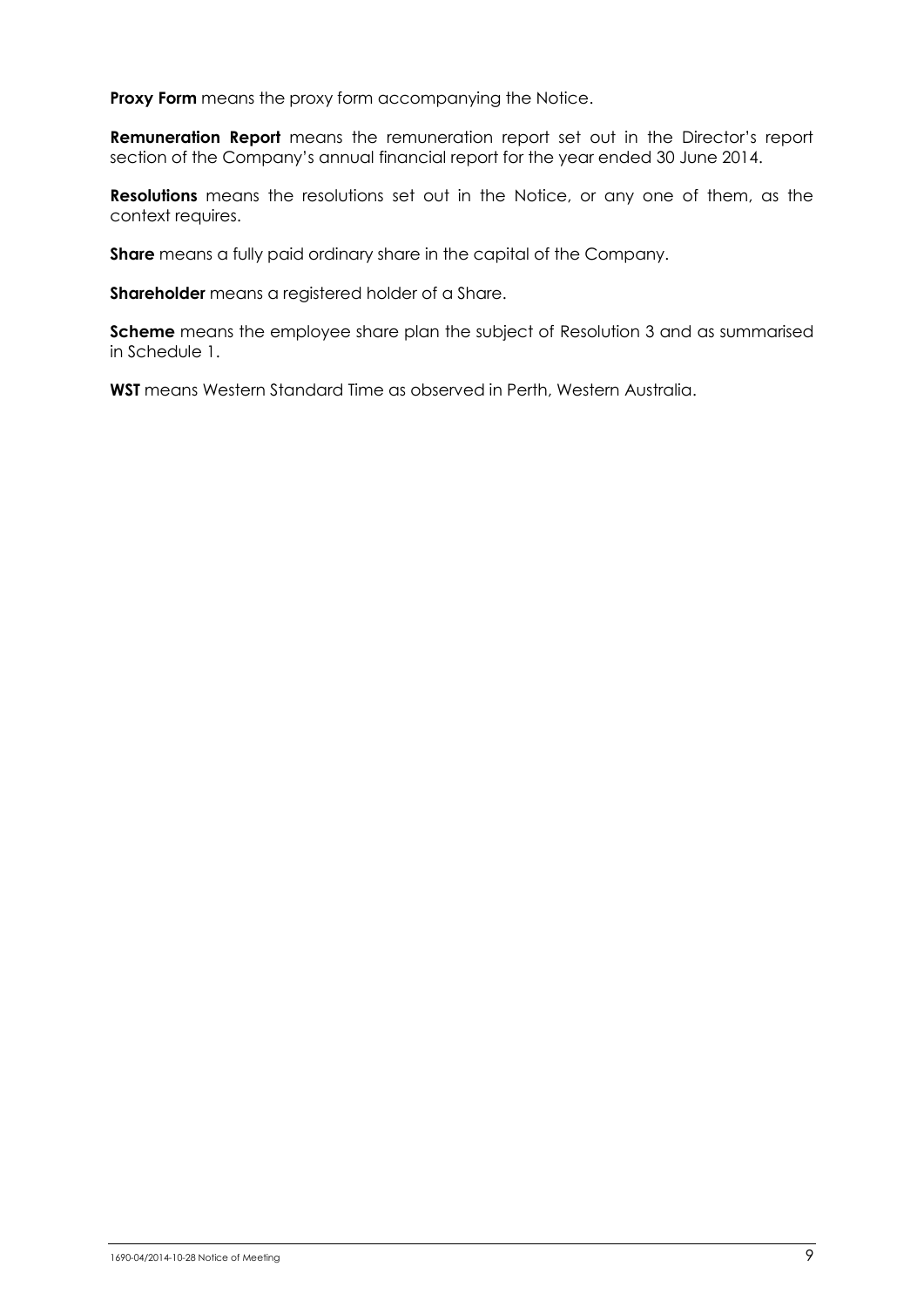**Proxy Form** means the proxy form accompanying the Notice.

**Remuneration Report** means the remuneration report set out in the Director's report section of the Company's annual financial report for the year ended 30 June 2014.

**Resolutions** means the resolutions set out in the Notice, or any one of them, as the context requires.

**Share** means a fully paid ordinary share in the capital of the Company.

**Shareholder** means a registered holder of a Share.

**Scheme** means the employee share plan the subject of Resolution 3 and as summarised in Schedule 1.

**WST** means Western Standard Time as observed in Perth, Western Australia.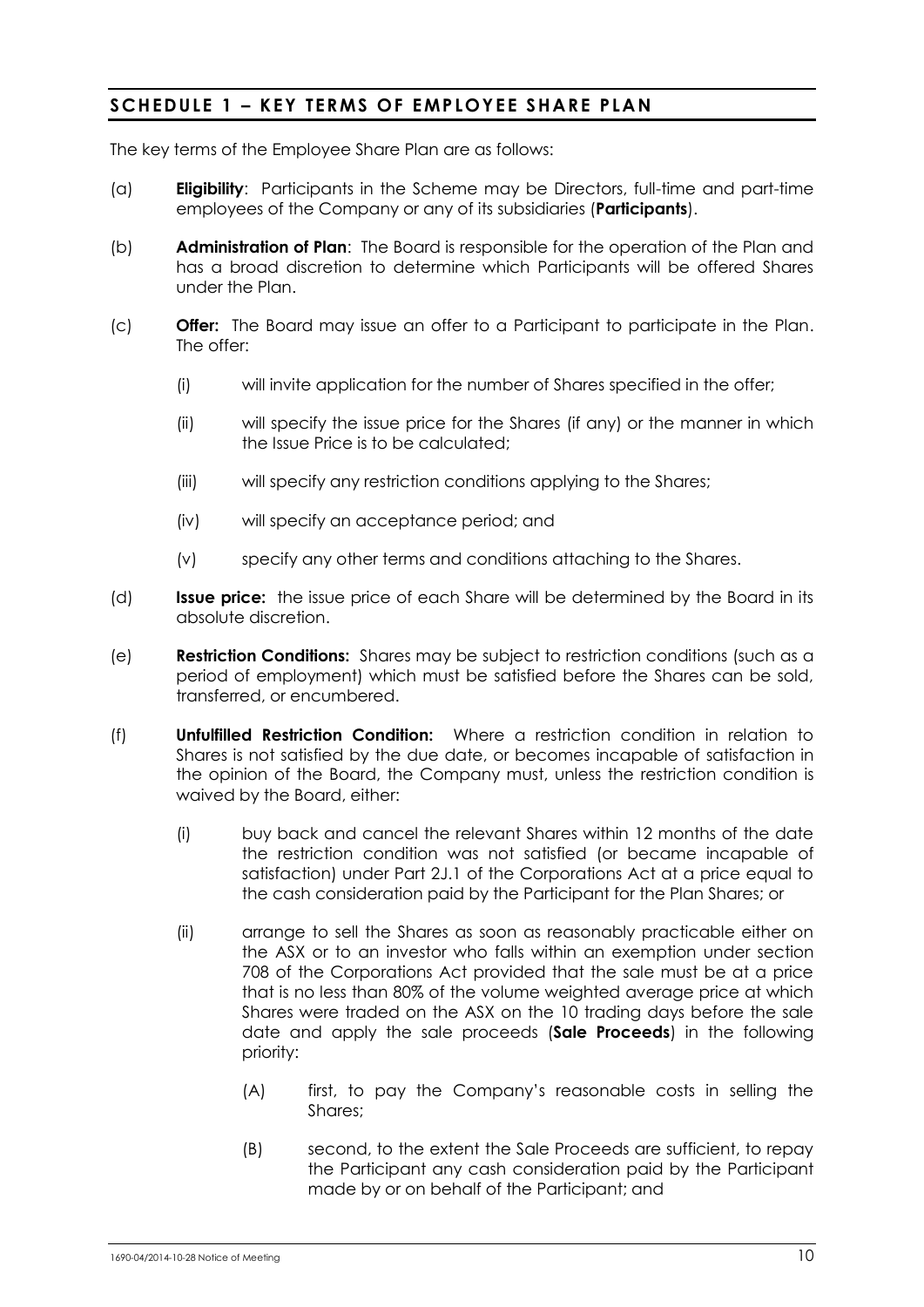### **SCHEDULE 1 – KEY TERMS OF EMPLOYE E SHARE PLAN**

The key terms of the Employee Share Plan are as follows:

- (a) **Eligibility**: Participants in the Scheme may be Directors, full-time and part-time employees of the Company or any of its subsidiaries (**Participants**).
- (b) **Administration of Plan**: The Board is responsible for the operation of the Plan and has a broad discretion to determine which Participants will be offered Shares under the Plan.
- (c) **Offer:** The Board may issue an offer to a Participant to participate in the Plan. The offer:
	- (i) will invite application for the number of Shares specified in the offer;
	- (ii) will specify the issue price for the Shares (if any) or the manner in which the Issue Price is to be calculated;
	- (iii) will specify any restriction conditions applying to the Shares;
	- (iv) will specify an acceptance period; and
	- (v) specify any other terms and conditions attaching to the Shares.
- (d) **Issue price:** the issue price of each Share will be determined by the Board in its absolute discretion.
- (e) **Restriction Conditions:** Shares may be subject to restriction conditions (such as a period of employment) which must be satisfied before the Shares can be sold, transferred, or encumbered.
- (f) **Unfulfilled Restriction Condition:** Where a restriction condition in relation to Shares is not satisfied by the due date, or becomes incapable of satisfaction in the opinion of the Board, the Company must, unless the restriction condition is waived by the Board, either:
	- (i) buy back and cancel the relevant Shares within 12 months of the date the restriction condition was not satisfied (or became incapable of satisfaction) under Part 2J.1 of the Corporations Act at a price equal to the cash consideration paid by the Participant for the Plan Shares; or
	- (ii) arrange to sell the Shares as soon as reasonably practicable either on the ASX or to an investor who falls within an exemption under section 708 of the Corporations Act provided that the sale must be at a price that is no less than 80% of the volume weighted average price at which Shares were traded on the ASX on the 10 trading days before the sale date and apply the sale proceeds (**Sale Proceeds**) in the following priority:
		- (A) first, to pay the Company's reasonable costs in selling the Shares;
		- (B) second, to the extent the Sale Proceeds are sufficient, to repay the Participant any cash consideration paid by the Participant made by or on behalf of the Participant; and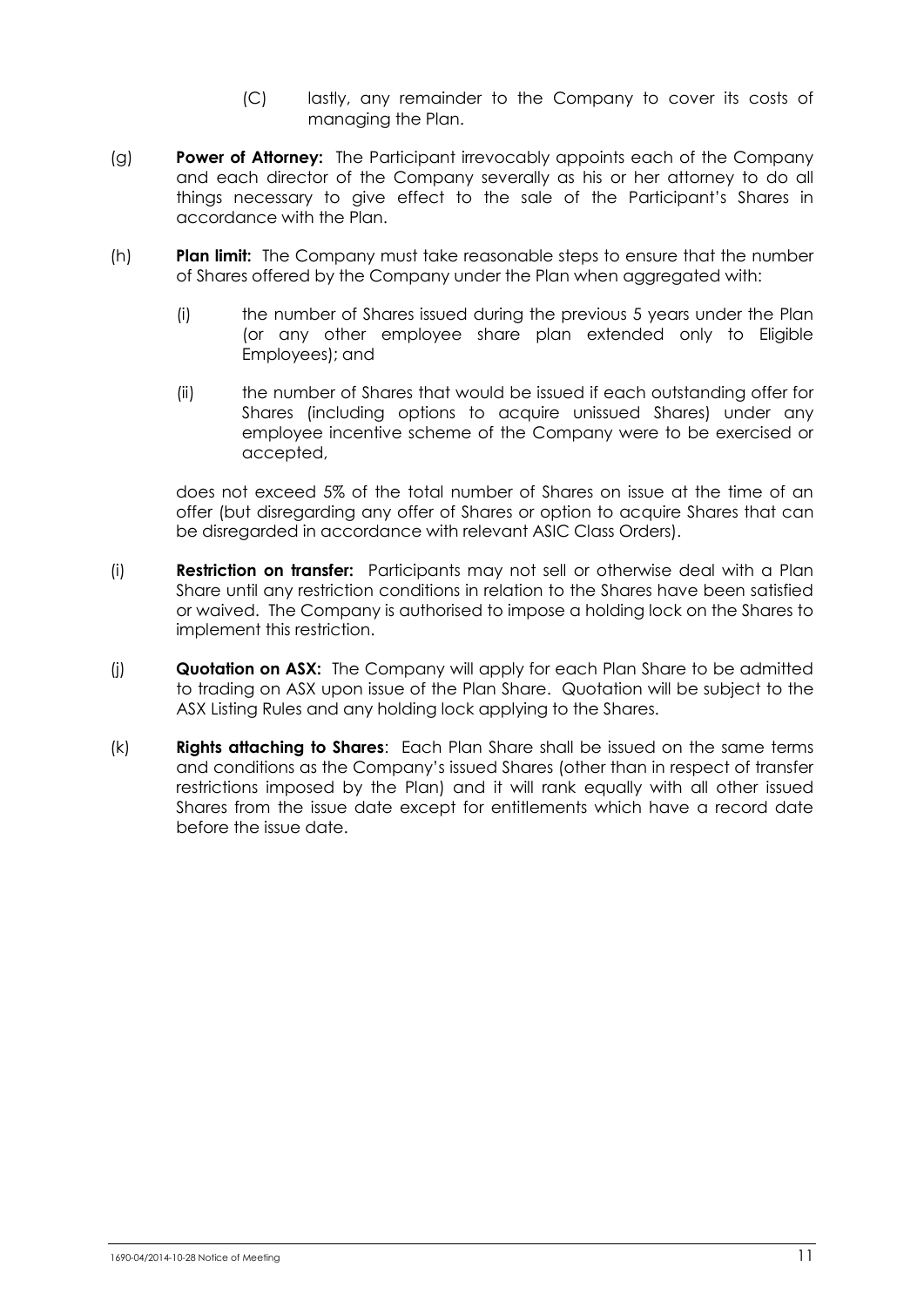- (C) lastly, any remainder to the Company to cover its costs of managing the Plan.
- (g) **Power of Attorney:** The Participant irrevocably appoints each of the Company and each director of the Company severally as his or her attorney to do all things necessary to give effect to the sale of the Participant's Shares in accordance with the Plan.
- (h) **Plan limit:** The Company must take reasonable steps to ensure that the number of Shares offered by the Company under the Plan when aggregated with:
	- (i) the number of Shares issued during the previous 5 years under the Plan (or any other employee share plan extended only to Eligible Employees); and
	- (ii) the number of Shares that would be issued if each outstanding offer for Shares (including options to acquire unissued Shares) under any employee incentive scheme of the Company were to be exercised or accepted,

does not exceed 5% of the total number of Shares on issue at the time of an offer (but disregarding any offer of Shares or option to acquire Shares that can be disregarded in accordance with relevant ASIC Class Orders).

- (i) **Restriction on transfer:** Participants may not sell or otherwise deal with a Plan Share until any restriction conditions in relation to the Shares have been satisfied or waived. The Company is authorised to impose a holding lock on the Shares to implement this restriction.
- (j) **Quotation on ASX:** The Company will apply for each Plan Share to be admitted to trading on ASX upon issue of the Plan Share. Quotation will be subject to the ASX Listing Rules and any holding lock applying to the Shares.
- (k) **Rights attaching to Shares**: Each Plan Share shall be issued on the same terms and conditions as the Company's issued Shares (other than in respect of transfer restrictions imposed by the Plan) and it will rank equally with all other issued Shares from the issue date except for entitlements which have a record date before the issue date.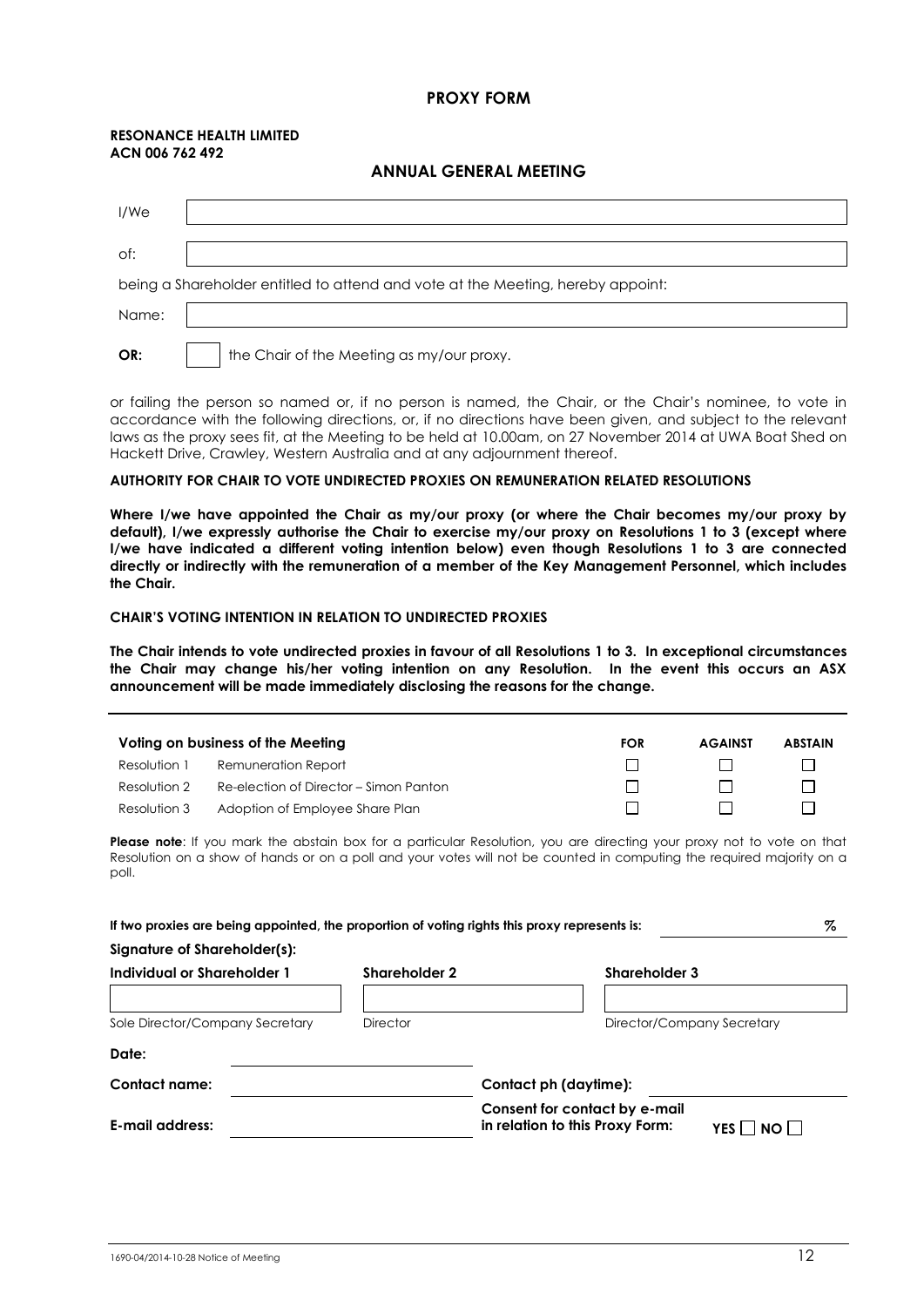### **PROXY FORM**

#### **RESONANCE HEALTH LIMITED ACN 006 762 492**

#### **ANNUAL GENERAL MEETING**

| I/We  |                                                                                 |
|-------|---------------------------------------------------------------------------------|
| of:   |                                                                                 |
|       | being a Shareholder entitled to attend and vote at the Meeting, hereby appoint: |
| Name: |                                                                                 |
| OR:   | the Chair of the Meeting as my/our proxy.                                       |

or failing the person so named or, if no person is named, the Chair, or the Chair's nominee, to vote in accordance with the following directions, or, if no directions have been given, and subject to the relevant laws as the proxy sees fit, at the Meeting to be held at 10.00am, on 27 November 2014 at UWA Boat Shed on Hackett Drive, Crawley, Western Australia and at any adjournment thereof.

#### **AUTHORITY FOR CHAIR TO VOTE UNDIRECTED PROXIES ON REMUNERATION RELATED RESOLUTIONS**

**Where I/we have appointed the Chair as my/our proxy (or where the Chair becomes my/our proxy by default), I/we expressly authorise the Chair to exercise my/our proxy on Resolutions 1 to 3 (except where I/we have indicated a different voting intention below) even though Resolutions 1 to 3 are connected directly or indirectly with the remuneration of a member of the Key Management Personnel, which includes the Chair.**

#### **CHAIR'S VOTING INTENTION IN RELATION TO UNDIRECTED PROXIES**

**The Chair intends to vote undirected proxies in favour of all Resolutions 1 to 3. In exceptional circumstances the Chair may change his/her voting intention on any Resolution. In the event this occurs an ASX announcement will be made immediately disclosing the reasons for the change.**

| Voting on business of the Meeting |                                        | <b>FOR</b> | <b>AGAINST</b> | <b>ABSTAIN</b> |
|-----------------------------------|----------------------------------------|------------|----------------|----------------|
| Resolution 1                      | Remuneration Report                    |            |                |                |
| Resolution 2                      | Re-election of Director – Simon Panton |            |                |                |
| Resolution 3                      | Adoption of Employee Share Plan        |            |                |                |

**Please note**: If you mark the abstain box for a particular Resolution, you are directing your proxy not to vote on that Resolution on a show of hands or on a poll and your votes will not be counted in computing the required majority on a poll.

| If two proxies are being appointed, the proportion of voting rights this proxy represents is: |                 | %                                                                                 |  |
|-----------------------------------------------------------------------------------------------|-----------------|-----------------------------------------------------------------------------------|--|
| Signature of Shareholder(s):                                                                  |                 |                                                                                   |  |
| Individual or Shareholder 1                                                                   | Shareholder 2   | Shareholder 3                                                                     |  |
|                                                                                               |                 |                                                                                   |  |
| Sole Director/Company Secretary                                                               | <b>Director</b> | Director/Company Secretary                                                        |  |
| Date:                                                                                         |                 |                                                                                   |  |
| <b>Contact name:</b>                                                                          |                 | Contact ph (daytime):                                                             |  |
| E-mail address:                                                                               |                 | Consent for contact by e-mail<br>in relation to this Proxy Form:<br>YES I INO I I |  |